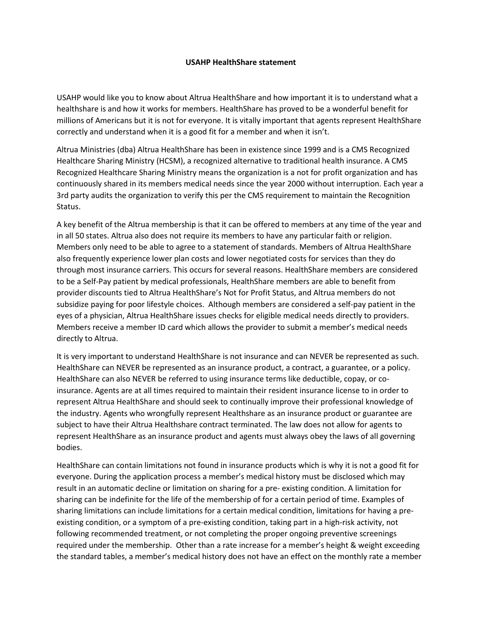## **USAHP HealthShare statement**

USAHP would like you to know about Altrua HealthShare and how important it is to understand what a healthshare is and how it works for members. HealthShare has proved to be a wonderful benefit for millions of Americans but it is not for everyone. It is vitally important that agents represent HealthShare correctly and understand when it is a good fit for a member and when it isn't.

Altrua Ministries (dba) Altrua HealthShare has been in existence since 1999 and is a CMS Recognized Healthcare Sharing Ministry (HCSM), a recognized alternative to traditional health insurance. A CMS Recognized Healthcare Sharing Ministry means the organization is a not for profit organization and has continuously shared in its members medical needs since the year 2000 without interruption. Each year a 3rd party audits the organization to verify this per the CMS requirement to maintain the Recognition Status.

A key benefit of the Altrua membership is that it can be offered to members at any time of the year and in all 50 states. Altrua also does not require its members to have any particular faith or religion. Members only need to be able to agree to a statement of standards. Members of Altrua HealthShare also frequently experience lower plan costs and lower negotiated costs for services than they do through most insurance carriers. This occurs for several reasons. HealthShare members are considered to be a Self-Pay patient by medical professionals, HealthShare members are able to benefit from provider discounts tied to Altrua HealthShare's Not for Profit Status, and Altrua members do not subsidize paying for poor lifestyle choices. Although members are considered a self-pay patient in the eyes of a physician, Altrua HealthShare issues checks for eligible medical needs directly to providers. Members receive a member ID card which allows the provider to submit a member's medical needs directly to Altrua.

It is very important to understand HealthShare is not insurance and can NEVER be represented as such. HealthShare can NEVER be represented as an insurance product, a contract, a guarantee, or a policy. HealthShare can also NEVER be referred to using insurance terms like deductible, copay, or coinsurance. Agents are at all times required to maintain their resident insurance license to in order to represent Altrua HealthShare and should seek to continually improve their professional knowledge of the industry. Agents who wrongfully represent Healthshare as an insurance product or guarantee are subject to have their Altrua Healthshare contract terminated. The law does not allow for agents to represent HealthShare as an insurance product and agents must always obey the laws of all governing bodies.

HealthShare can contain limitations not found in insurance products which is why it is not a good fit for everyone. During the application process a member's medical history must be disclosed which may result in an automatic decline or limitation on sharing for a pre- existing condition. A limitation for sharing can be indefinite for the life of the membership of for a certain period of time. Examples of sharing limitations can include limitations for a certain medical condition, limitations for having a preexisting condition, or a symptom of a pre-existing condition, taking part in a high-risk activity, not following recommended treatment, or not completing the proper ongoing preventive screenings required under the membership. Other than a rate increase for a member's height & weight exceeding the standard tables, a member's medical history does not have an effect on the monthly rate a member